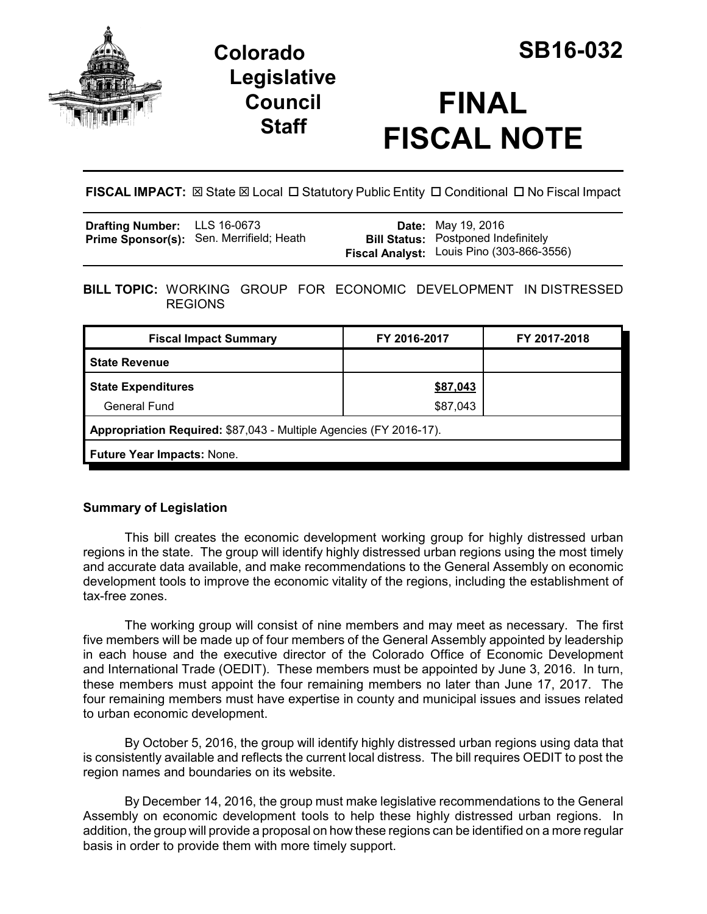

## **Colorado SB16-032 Legislative Council Staff**

# **FINAL FISCAL NOTE**

**FISCAL IMPACT:**  $\boxtimes$  State  $\boxtimes$  Local  $\Box$  Statutory Public Entity  $\Box$  Conditional  $\Box$  No Fiscal Impact

| <b>Drafting Number:</b> LLS 16-0673 |                                          | <b>Date:</b> May 19, 2016                                                               |
|-------------------------------------|------------------------------------------|-----------------------------------------------------------------------------------------|
|                                     | Prime Sponsor(s): Sen. Merrifield; Heath | <b>Bill Status:</b> Postponed Indefinitely<br>Fiscal Analyst: Louis Pino (303-866-3556) |
|                                     |                                          |                                                                                         |

**BILL TOPIC:** WORKING GROUP FOR ECONOMIC DEVELOPMENT IN DISTRESSED REGIONS

| <b>Fiscal Impact Summary</b>                                       | FY 2016-2017 | FY 2017-2018 |  |  |
|--------------------------------------------------------------------|--------------|--------------|--|--|
| <b>State Revenue</b>                                               |              |              |  |  |
| <b>State Expenditures</b>                                          | \$87,043     |              |  |  |
| <b>General Fund</b>                                                | \$87,043     |              |  |  |
| Appropriation Required: \$87,043 - Multiple Agencies (FY 2016-17). |              |              |  |  |
| <b>Future Year Impacts: None.</b>                                  |              |              |  |  |

### **Summary of Legislation**

This bill creates the economic development working group for highly distressed urban regions in the state. The group will identify highly distressed urban regions using the most timely and accurate data available, and make recommendations to the General Assembly on economic development tools to improve the economic vitality of the regions, including the establishment of tax-free zones.

The working group will consist of nine members and may meet as necessary. The first five members will be made up of four members of the General Assembly appointed by leadership in each house and the executive director of the Colorado Office of Economic Development and International Trade (OEDIT). These members must be appointed by June 3, 2016. In turn, these members must appoint the four remaining members no later than June 17, 2017. The four remaining members must have expertise in county and municipal issues and issues related to urban economic development.

By October 5, 2016, the group will identify highly distressed urban regions using data that is consistently available and reflects the current local distress. The bill requires OEDIT to post the region names and boundaries on its website.

By December 14, 2016, the group must make legislative recommendations to the General Assembly on economic development tools to help these highly distressed urban regions. In addition, the group will provide a proposal on how these regions can be identified on a more regular basis in order to provide them with more timely support.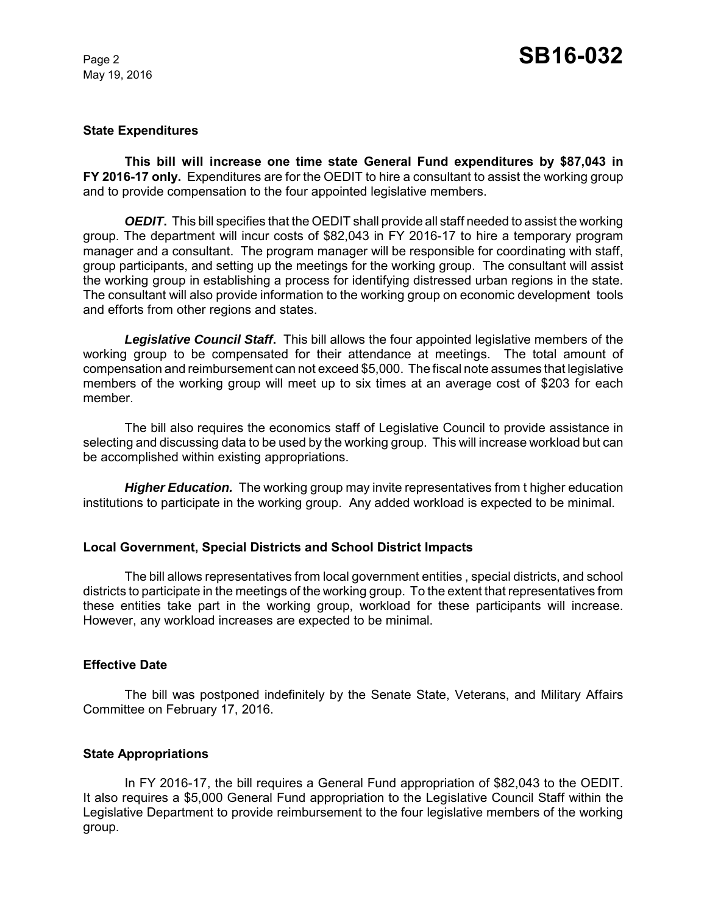May 19, 2016

#### **State Expenditures**

**This bill will increase one time state General Fund expenditures by \$87,043 in FY 2016-17 only.** Expenditures are for the OEDIT to hire a consultant to assist the working group and to provide compensation to the four appointed legislative members.

*OEDIT*. This bill specifies that the OEDIT shall provide all staff needed to assist the working group. The department will incur costs of \$82,043 in FY 2016-17 to hire a temporary program manager and a consultant. The program manager will be responsible for coordinating with staff, group participants, and setting up the meetings for the working group. The consultant will assist the working group in establishing a process for identifying distressed urban regions in the state. The consultant will also provide information to the working group on economic development tools and efforts from other regions and states.

*Legislative Council Staff***.** This bill allows the four appointed legislative members of the working group to be compensated for their attendance at meetings. The total amount of compensation and reimbursement can not exceed \$5,000. The fiscal note assumes that legislative members of the working group will meet up to six times at an average cost of \$203 for each member.

The bill also requires the economics staff of Legislative Council to provide assistance in selecting and discussing data to be used by the working group. This will increase workload but can be accomplished within existing appropriations.

**Higher Education.** The working group may invite representatives from t higher education institutions to participate in the working group. Any added workload is expected to be minimal.

#### **Local Government, Special Districts and School District Impacts**

The bill allows representatives from local government entities , special districts, and school districts to participate in the meetings of the working group. To the extent that representatives from these entities take part in the working group, workload for these participants will increase. However, any workload increases are expected to be minimal.

#### **Effective Date**

The bill was postponed indefinitely by the Senate State, Veterans, and Military Affairs Committee on February 17, 2016.

#### **State Appropriations**

In FY 2016-17, the bill requires a General Fund appropriation of \$82,043 to the OEDIT. It also requires a \$5,000 General Fund appropriation to the Legislative Council Staff within the Legislative Department to provide reimbursement to the four legislative members of the working group.